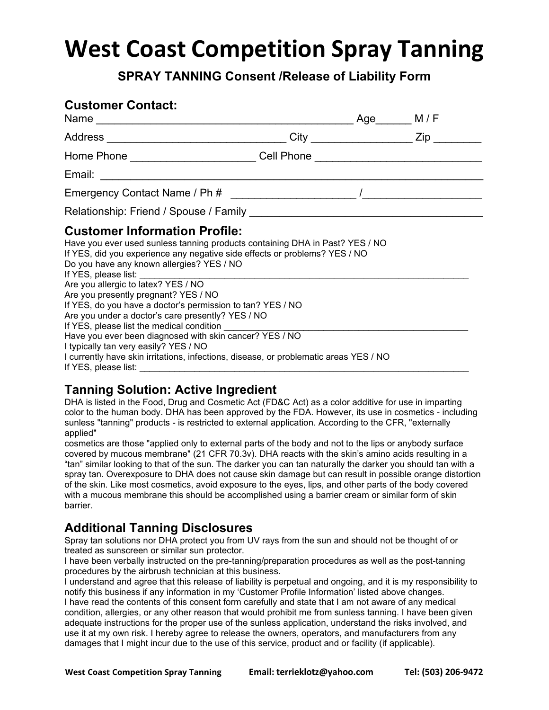## **West Coast Competition Spray Tanning**

**SPRAY TANNING Consent /Release of Liability Form**

| <b>Customer Contact:</b>                                                                                                                                                                                                                                                                                                                                                                                                                                                                                                                                                                                                                                                                    | Age M/F    |  |
|---------------------------------------------------------------------------------------------------------------------------------------------------------------------------------------------------------------------------------------------------------------------------------------------------------------------------------------------------------------------------------------------------------------------------------------------------------------------------------------------------------------------------------------------------------------------------------------------------------------------------------------------------------------------------------------------|------------|--|
|                                                                                                                                                                                                                                                                                                                                                                                                                                                                                                                                                                                                                                                                                             | $City$ Zip |  |
| Home Phone ________________________Cell Phone __________________________________                                                                                                                                                                                                                                                                                                                                                                                                                                                                                                                                                                                                            |            |  |
|                                                                                                                                                                                                                                                                                                                                                                                                                                                                                                                                                                                                                                                                                             |            |  |
|                                                                                                                                                                                                                                                                                                                                                                                                                                                                                                                                                                                                                                                                                             |            |  |
|                                                                                                                                                                                                                                                                                                                                                                                                                                                                                                                                                                                                                                                                                             |            |  |
| <b>Customer Information Profile:</b><br>Have you ever used sunless tanning products containing DHA in Past? YES / NO<br>If YES, did you experience any negative side effects or problems? YES / NO<br>Do you have any known allergies? YES / NO<br>Are you allergic to latex? YES / NO<br>Are you presently pregnant? YES / NO<br>If YES, do you have a doctor's permission to tan? YES / NO<br>Are you under a doctor's care presently? YES / NO<br>If YES, please list the medical condition<br>Have you ever been diagnosed with skin cancer? YES / NO<br>I typically tan very easily? YES / NO<br>I currently have skin irritations, infections, disease, or problematic areas YES / NO |            |  |

#### **Tanning Solution: Active Ingredient**

DHA is listed in the Food, Drug and Cosmetic Act (FD&C Act) as a color additive for use in imparting color to the human body. DHA has been approved by the FDA. However, its use in cosmetics - including sunless "tanning" products - is restricted to external application. According to the CFR, "externally applied"

cosmetics are those "applied only to external parts of the body and not to the lips or anybody surface covered by mucous membrane" (21 CFR 70.3v). DHA reacts with the skin's amino acids resulting in a "tan" similar looking to that of the sun. The darker you can tan naturally the darker you should tan with a spray tan. Overexposure to DHA does not cause skin damage but can result in possible orange distortion of the skin. Like most cosmetics, avoid exposure to the eyes, lips, and other parts of the body covered with a mucous membrane this should be accomplished using a barrier cream or similar form of skin barrier.

### **Additional Tanning Disclosures**

Spray tan solutions nor DHA protect you from UV rays from the sun and should not be thought of or treated as sunscreen or similar sun protector.

I have been verbally instructed on the pre-tanning/preparation procedures as well as the post-tanning procedures by the airbrush technician at this business.

I understand and agree that this release of liability is perpetual and ongoing, and it is my responsibility to notify this business if any information in my 'Customer Profile Information' listed above changes. I have read the contents of this consent form carefully and state that I am not aware of any medical condition, allergies, or any other reason that would prohibit me from sunless tanning. I have been given adequate instructions for the proper use of the sunless application, understand the risks involved, and use it at my own risk. I hereby agree to release the owners, operators, and manufacturers from any damages that I might incur due to the use of this service, product and or facility (if applicable).